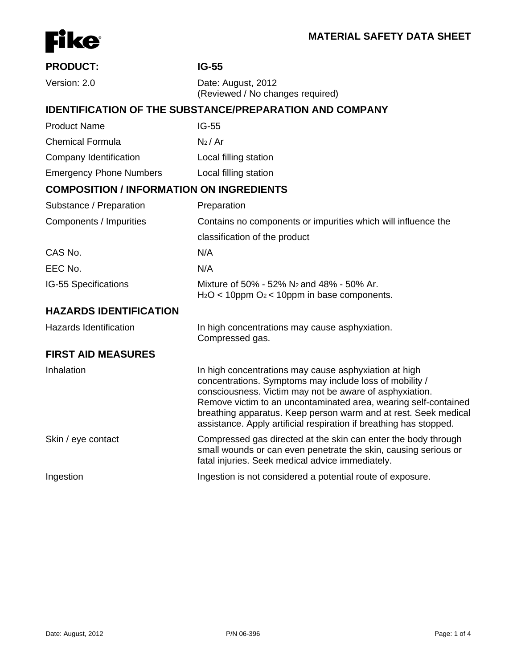

| <b>PRODUCT:</b>                                                | $IG-55$                                                                                                                                                                                                                                                                                                                                                                                 |  |  |
|----------------------------------------------------------------|-----------------------------------------------------------------------------------------------------------------------------------------------------------------------------------------------------------------------------------------------------------------------------------------------------------------------------------------------------------------------------------------|--|--|
| Version: 2.0                                                   | Date: August, 2012                                                                                                                                                                                                                                                                                                                                                                      |  |  |
|                                                                | (Reviewed / No changes required)                                                                                                                                                                                                                                                                                                                                                        |  |  |
| <b>IDENTIFICATION OF THE SUBSTANCE/PREPARATION AND COMPANY</b> |                                                                                                                                                                                                                                                                                                                                                                                         |  |  |
| <b>Product Name</b>                                            | $IG-55$                                                                                                                                                                                                                                                                                                                                                                                 |  |  |
| <b>Chemical Formula</b>                                        | $N_2/Ar$                                                                                                                                                                                                                                                                                                                                                                                |  |  |
| Company Identification                                         | Local filling station                                                                                                                                                                                                                                                                                                                                                                   |  |  |
| <b>Emergency Phone Numbers</b>                                 | Local filling station                                                                                                                                                                                                                                                                                                                                                                   |  |  |
| <b>COMPOSITION / INFORMATION ON INGREDIENTS</b>                |                                                                                                                                                                                                                                                                                                                                                                                         |  |  |
| Substance / Preparation                                        | Preparation                                                                                                                                                                                                                                                                                                                                                                             |  |  |
| Components / Impurities                                        | Contains no components or impurities which will influence the                                                                                                                                                                                                                                                                                                                           |  |  |
|                                                                | classification of the product                                                                                                                                                                                                                                                                                                                                                           |  |  |
| CAS No.                                                        | N/A                                                                                                                                                                                                                                                                                                                                                                                     |  |  |
| EEC No.                                                        | N/A                                                                                                                                                                                                                                                                                                                                                                                     |  |  |
| IG-55 Specifications                                           | Mixture of 50% - 52% N <sub>2</sub> and 48% - 50% Ar.<br>$H_2O < 10$ ppm $O_2 < 10$ ppm in base components.                                                                                                                                                                                                                                                                             |  |  |
| <b>HAZARDS IDENTIFICATION</b>                                  |                                                                                                                                                                                                                                                                                                                                                                                         |  |  |
| <b>Hazards Identification</b>                                  | In high concentrations may cause asphyxiation.<br>Compressed gas.                                                                                                                                                                                                                                                                                                                       |  |  |
| <b>FIRST AID MEASURES</b>                                      |                                                                                                                                                                                                                                                                                                                                                                                         |  |  |
| Inhalation                                                     | In high concentrations may cause asphyxiation at high<br>concentrations. Symptoms may include loss of mobility /<br>consciousness. Victim may not be aware of asphyxiation.<br>Remove victim to an uncontaminated area, wearing self-contained<br>breathing apparatus. Keep person warm and at rest. Seek medical<br>assistance. Apply artificial respiration if breathing has stopped. |  |  |
| Skin / eye contact                                             | Compressed gas directed at the skin can enter the body through<br>small wounds or can even penetrate the skin, causing serious or<br>fatal injuries. Seek medical advice immediately.                                                                                                                                                                                                   |  |  |
| Ingestion                                                      | Ingestion is not considered a potential route of exposure.                                                                                                                                                                                                                                                                                                                              |  |  |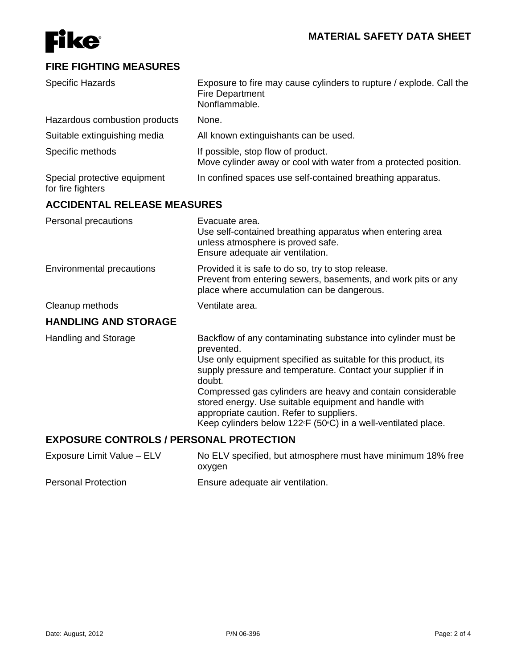

### **FIRE FIGHTING MEASURES**

| <b>Specific Hazards</b>                           | Exposure to fire may cause cylinders to rupture / explode. Call the<br><b>Fire Department</b><br>Nonflammable.                                                                                                                                                                                                                                                                                                                                               |
|---------------------------------------------------|--------------------------------------------------------------------------------------------------------------------------------------------------------------------------------------------------------------------------------------------------------------------------------------------------------------------------------------------------------------------------------------------------------------------------------------------------------------|
| Hazardous combustion products                     | None.                                                                                                                                                                                                                                                                                                                                                                                                                                                        |
| Suitable extinguishing media                      | All known extinguishants can be used.                                                                                                                                                                                                                                                                                                                                                                                                                        |
| Specific methods                                  | If possible, stop flow of product.<br>Move cylinder away or cool with water from a protected position.                                                                                                                                                                                                                                                                                                                                                       |
| Special protective equipment<br>for fire fighters | In confined spaces use self-contained breathing apparatus.                                                                                                                                                                                                                                                                                                                                                                                                   |
| <b>ACCIDENTAL RELEASE MEASURES</b>                |                                                                                                                                                                                                                                                                                                                                                                                                                                                              |
| Personal precautions                              | Evacuate area.<br>Use self-contained breathing apparatus when entering area<br>unless atmosphere is proved safe.<br>Ensure adequate air ventilation.                                                                                                                                                                                                                                                                                                         |
| Environmental precautions                         | Provided it is safe to do so, try to stop release.<br>Prevent from entering sewers, basements, and work pits or any<br>place where accumulation can be dangerous.                                                                                                                                                                                                                                                                                            |
| Cleanup methods                                   | Ventilate area.                                                                                                                                                                                                                                                                                                                                                                                                                                              |
| <b>HANDLING AND STORAGE</b>                       |                                                                                                                                                                                                                                                                                                                                                                                                                                                              |
| <b>Handling and Storage</b>                       | Backflow of any contaminating substance into cylinder must be<br>prevented.<br>Use only equipment specified as suitable for this product, its<br>supply pressure and temperature. Contact your supplier if in<br>doubt.<br>Compressed gas cylinders are heavy and contain considerable<br>stored energy. Use suitable equipment and handle with<br>appropriate caution. Refer to suppliers.<br>Keep cylinders below 122°F (50°C) in a well-ventilated place. |
| <b>EXPOSURE CONTROLS / PERSONAL PROTECTION</b>    |                                                                                                                                                                                                                                                                                                                                                                                                                                                              |
| Exposure Limit Value - ELV                        | No ELV specified, but atmosphere must have minimum 18% free<br>oxygen                                                                                                                                                                                                                                                                                                                                                                                        |

Personal Protection **Ensure adequate air ventilation**.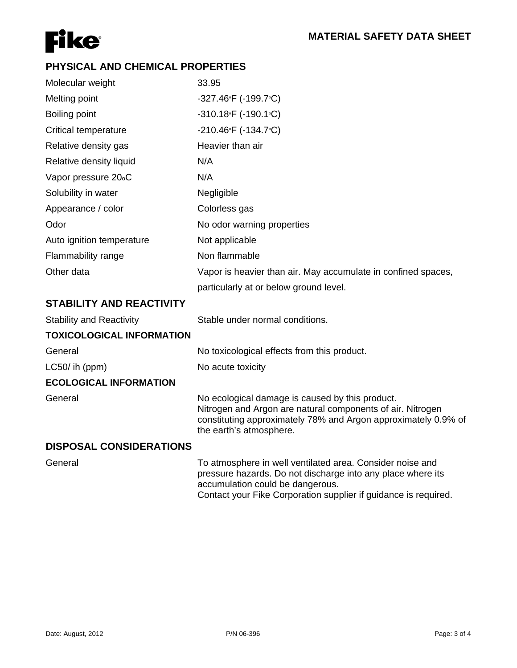# **Fike**

## **PHYSICAL AND CHEMICAL PROPERTIES**

| Molecular weight                 | 33.95                                                                                                                                                                                                      |
|----------------------------------|------------------------------------------------------------------------------------------------------------------------------------------------------------------------------------------------------------|
| Melting point                    | -327.46°F (-199.7°C)                                                                                                                                                                                       |
| <b>Boiling point</b>             | $-310.18$ <sup>e</sup> F (-190.1 <sup>e</sup> C)                                                                                                                                                           |
| <b>Critical temperature</b>      | $-210.46$ <sup>o</sup> F (-134.7 <sup>o</sup> C)                                                                                                                                                           |
| Relative density gas             | Heavier than air                                                                                                                                                                                           |
| Relative density liquid          | N/A                                                                                                                                                                                                        |
| Vapor pressure 20 <sub>°</sub> C | N/A                                                                                                                                                                                                        |
| Solubility in water              | Negligible                                                                                                                                                                                                 |
| Appearance / color               | Colorless gas                                                                                                                                                                                              |
| Odor                             | No odor warning properties                                                                                                                                                                                 |
| Auto ignition temperature        | Not applicable                                                                                                                                                                                             |
| Flammability range               | Non flammable                                                                                                                                                                                              |
| Other data                       | Vapor is heavier than air. May accumulate in confined spaces,                                                                                                                                              |
|                                  | particularly at or below ground level.                                                                                                                                                                     |
| <b>STABILITY AND REACTIVITY</b>  |                                                                                                                                                                                                            |
| <b>Stability and Reactivity</b>  | Stable under normal conditions.                                                                                                                                                                            |
| <b>TOXICOLOGICAL INFORMATION</b> |                                                                                                                                                                                                            |
| General                          | No toxicological effects from this product.                                                                                                                                                                |
| LC50/ih (ppm)                    | No acute toxicity                                                                                                                                                                                          |
| <b>ECOLOGICAL INFORMATION</b>    |                                                                                                                                                                                                            |
| General                          | No ecological damage is caused by this product.<br>Nitrogen and Argon are natural components of air. Nitrogen<br>constituting approximately 78% and Argon approximately 0.9% of<br>the earth's atmosphere. |
| <b>DISPOSAL CONSIDERATIONS</b>   |                                                                                                                                                                                                            |
| General                          | To atmosphere in well ventilated area. Consider noise and<br>pressure hazards. Do not discharge into any place where its<br>accumulation could be dangerous.                                               |

Contact your Fike Corporation supplier if guidance is required.

Date: August, 2012 P/N 06-396 P/N 06-396 Page: 3 of 4